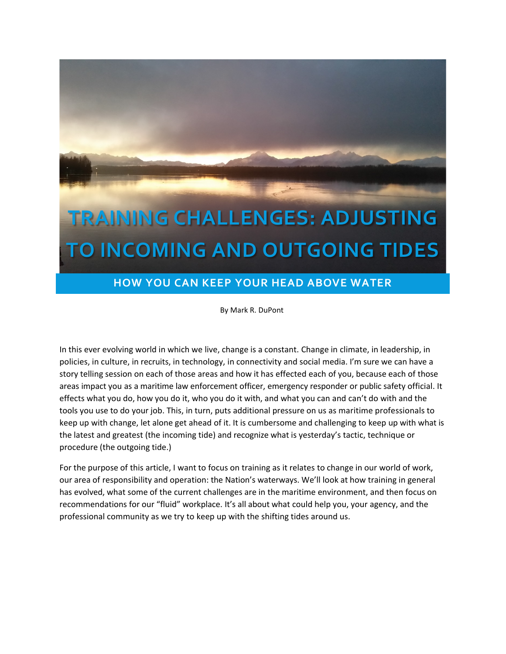

# **HOW YOU CAN KEEP YOUR HEAD ABOVE WATER**

By Mark R. DuPont

In this ever evolving world in which we live, change is a constant. Change in climate, in leadership, in policies, in culture, in recruits, in technology, in connectivity and social media. I'm sure we can have a story telling session on each of those areas and how it has effected each of you, because each of those areas impact you as a maritime law enforcement officer, emergency responder or public safety official. It effects what you do, how you do it, who you do it with, and what you can and can't do with and the tools you use to do your job. This, in turn, puts additional pressure on us as maritime professionals to keep up with change, let alone get ahead of it. It is cumbersome and challenging to keep up with what is the latest and greatest (the incoming tide) and recognize what is yesterday's tactic, technique or procedure (the outgoing tide.)

For the purpose of this article, I want to focus on training as it relates to change in our world of work, our area of responsibility and operation: the Nation's waterways. We'll look at how training in general has evolved, what some of the current challenges are in the maritime environment, and then focus on recommendations for our "fluid" workplace. It's all about what could help you, your agency, and the professional community as we try to keep up with the shifting tides around us.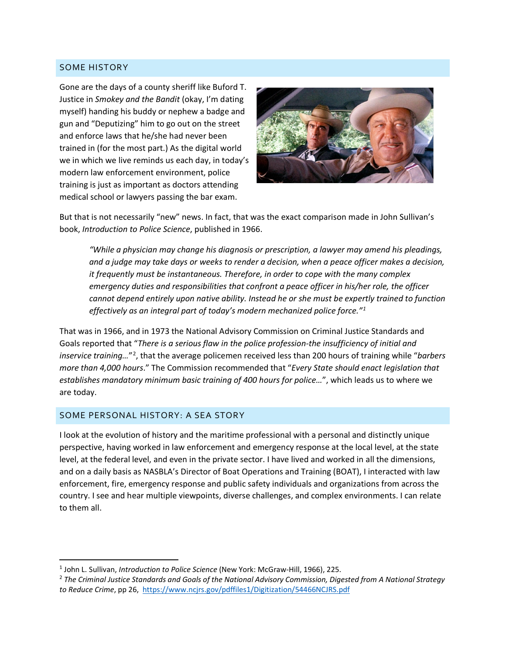### SOME HISTORY

Gone are the days of a county sheriff like Buford T. Justice in *Smokey and the Bandit* (okay, I'm dating myself) handing his buddy or nephew a badge and gun and "Deputizing" him to go out on the street and enforce laws that he/she had never been trained in (for the most part.) As the digital world in which we live reminds us each day, in today's modern law enforcement environment, police training is just as important as doctors attending medical school or lawyers passing the bar exam.



But that is not necessarily "new" news. In fact, that was the exact comparison made in John Sullivan's book, *Introduction to Police Science*, published in 1966.

*"While a physician may change his diagnosis or prescription, a lawyer may amend his pleadings, and a judge may take days or weeks to render a decision, when a peace officer makes a decision, it frequently must be instantaneous. Therefore, in order to cope with the many complex emergency duties and responsibilities that confront a peace officer in his/her role, the officer cannot depend entirely upon native ability. Instead he or she must be expertly trained to function effectively as an integral part of today's modern mechanized police force."[1](#page-1-0)*

That was in 1966, and in 1973 the National Advisory Commission on Criminal Justice Standards and Goals reported that "*There is a serious flaw in the police profession-the insufficiency of initial and inservice training…*"[2](#page-1-1) , that the average policemen received less than 200 hours of training while "*barbers more than 4,000 hours*." The Commission recommended that "*Every State should enact legislation that establishes mandatory minimum basic training of 400 hours for police…*", which leads us to where we are today.

### SOME PERSONAL HISTORY: A SEA STORY

I look at the evolution of history and the maritime professional with a personal and distinctly unique perspective, having worked in law enforcement and emergency response at the local level, at the state level, at the federal level, and even in the private sector. I have lived and worked in all the dimensions, and on a daily basis as NASBLA's Director of Boat Operations and Training (BOAT), I interacted with law enforcement, fire, emergency response and public safety individuals and organizations from across the country. I see and hear multiple viewpoints, diverse challenges, and complex environments. I can relate to them all.

<span id="page-1-0"></span><sup>1</sup> John L. Sullivan, *Introduction to Police Science* (New York: McGraw-Hill, 1966), 225.

<span id="page-1-1"></span><sup>2</sup> *The Criminal Justice Standards and Goals of the National Advisory Commission, Digested from A National Strategy to Reduce Crime*, pp 26,<https://www.ncjrs.gov/pdffiles1/Digitization/54466NCJRS.pdf>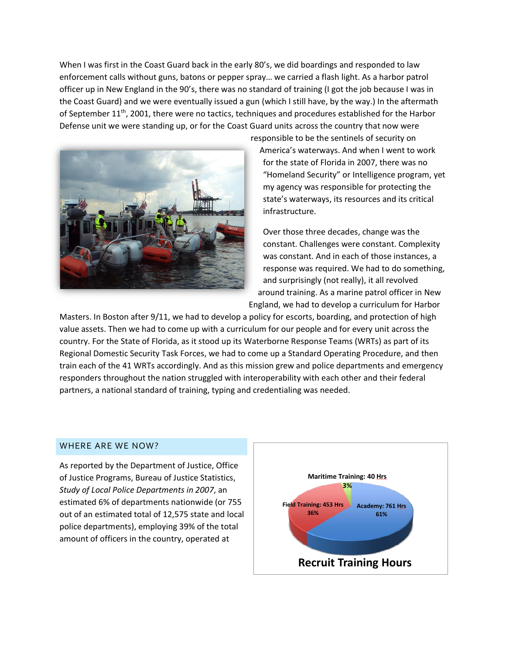When I was first in the Coast Guard back in the early 80's, we did boardings and responded to law enforcement calls without guns, batons or pepper spray… we carried a flash light. As a harbor patrol officer up in New England in the 90's, there was no standard of training (I got the job because I was in the Coast Guard) and we were eventually issued a gun (which I still have, by the way.) In the aftermath of September 11<sup>th</sup>, 2001, there were no tactics, techniques and procedures established for the Harbor Defense unit we were standing up, or for the Coast Guard units across the country that now were responsible to be the sentinels of security on



America's waterways. And when I went to work for the state of Florida in 2007, there was no "Homeland Security" or Intelligence program, yet my agency was responsible for protecting the state's waterways, its resources and its critical infrastructure.

Over those three decades, change was the constant. Challenges were constant. Complexity was constant. And in each of those instances, a response was required. We had to do something, and surprisingly (not really), it all revolved around training. As a marine patrol officer in New England, we had to develop a curriculum for Harbor

Masters. In Boston after 9/11, we had to develop a policy for escorts, boarding, and protection of high value assets. Then we had to come up with a curriculum for our people and for every unit across the country. For the State of Florida, as it stood up its Waterborne Response Teams (WRTs) as part of its Regional Domestic Security Task Forces, we had to come up  $\mathbb{B}$  a Standard Operating Procedure, and then train each of the 41 WRTs accordingly. And as this mission grew and police departments and emergency responders throughout the nation struggled with interoperability with each other and their federal partners, a national standard of training, typing and credentialing was needed.

#### WHERE ARE WE NOW?

As reported by the Department of Justice, Office of Justice Programs, Bureau of Justice Statistics, *Study of Local Police Departments in 2007*, an estimated 6% of departments nationwide (or 755 out of an estimated total of 12,575 state and local police departments), employing 39% of the total amount of officers in the country, operated at

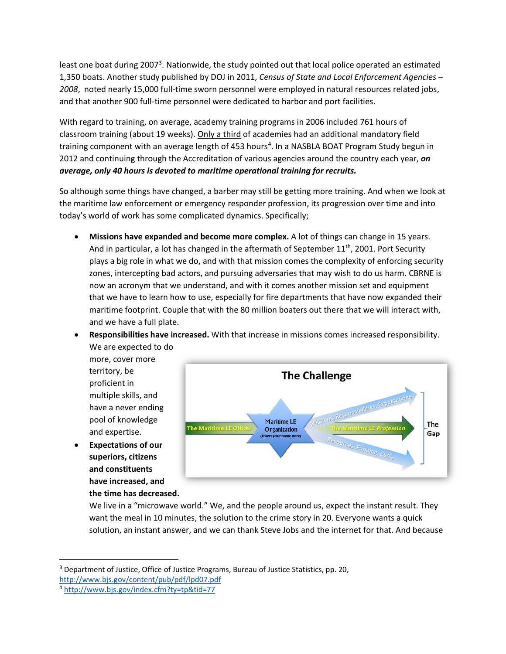least one boat during 2007<sup>[3](#page-3-0)</sup>. Nationwide, the study pointed out that local police operated an estimated 1,350 boats. Another study published by DOJ in 2011, *Census of State and Local Enforcement Agencies – 2008*, noted nearly 15,000 full-time sworn personnel were employed in natural resources related jobs, and that another 900 full-time personnel were dedicated to harbor and port facilities.

With regard to training, on average, academy training programs in 2006 included 761 hours of classroom training (about 19 weeks). Only a third of academies had an additional mandatory field training component with an average length of [4](#page-3-1)53 hours<sup>4</sup>. In a NASBLA BOAT Program Study begun in 2012 and continuing through the Accreditation of various agencies around the country each year, *on average, only 40 hours is devoted to maritime operational training for recruits.*

So, although some things have changed, a barber may still be getting more training. And when we look at the maritime law enforcement or emergency responder profession, its progression over time and into today's world of work has some complicated dynamics. Specifically;

- **Missions have expanded and become more complex.** A lot of things can change in 15 years. And in particular, a lot has changed in the aftermath of September  $11<sup>th</sup>$ , 2001. Port Security plays a big role in what we do, and with that mission comes the complexity of enforcing security zones, intercepting bad actors, and pursuing adversaries that may wish to do us harm. CBRNE is now an acronym that we understand, and with it comes another mission set and equipment that we have to learn how to use, especially for fire departments that have now expanded their maritime footprint. Couple that with the 80 million boaters out there that we will interact with, and we have a full plate.
- **Responsibilities have increased.** With that increase in missions comes increased responsibility.

We are expected to do more, cover more territory, be proficient in multiple skills, and have a never ending pool of knowledge and expertise.

• **Expectations of our superiors, citizens and constituents have increased, and the time has decreased.**



We live in a "microwave world." We, and the people around us, expect the instant result. They want the meal in 10 minutes, the solution to the crime story in 20. Everyone wants a quick solution, an instant answer, and we can thank Steve Jobs and the internet for that. And because

<span id="page-3-0"></span> $3$  Department of Justice, Office of Justice Programs, Bureau of Justice Statistics, pp. 20, http://www.bjs.gov/content/pub/pdf/lpd07.pdf<br><sup>4</sup> http://www.bjs.gov/index.cfm?ty=tp&tid=77

<span id="page-3-1"></span>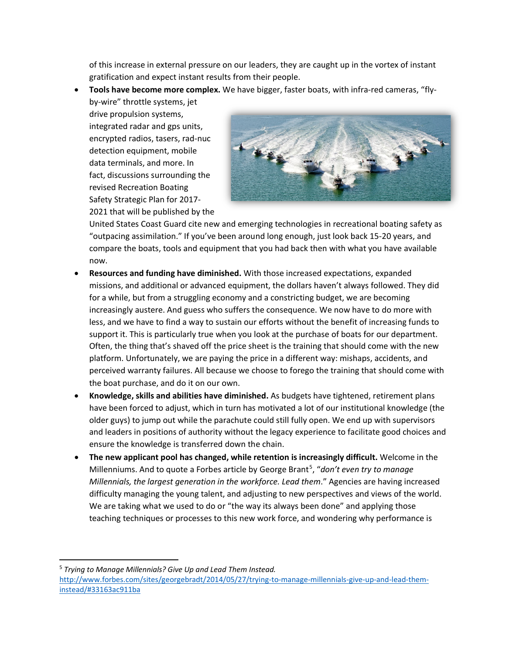of this increase in external pressure on our leaders, they are caught up in the vortex of instant gratification and expect instant results from their people.

• **Tools have become more complex.** We have bigger, faster boats, with infra-red cameras, "fly-

by-wire" throttle systems, jet drive propulsion systems, integrated radar and gps units, encrypted radios, tasers, rad-nuc detection equipment, mobile data terminals, and more. In fact, discussions surrounding the revised Recreation Boating Safety Strategic Plan for 2017- 2021 that will be published by the



United States Coast Guard cite new and emerging technologies in recreational boating safety as "outpacing assimilation." If you've been around long enough, just look back 15-20 years, and compare the boats, tools and equipment that you had back then with what you have available now.

- **Resources and funding have diminished.** With those increased expectations, expanded missions, and additional or advanced equipment, the dollars haven't always followed. They did for a while, but from a struggling economy and a constricting budget, we are becoming increasingly austere. And guess who suffers the consequence. We now have to do more with less, and we have to find a way to sustain our efforts without the benefit of increasing funds to support it. This is particularly true when you look at the purchase of boats for our department. Often, the thing that's shaved off the price sheet is the training that should come with the new platform. Unfortunately, we are paying the price in a different way: mishaps, accidents, and perceived warranty failures. All because we choose to forego the training that should come with the boat purchase, and do it on our own.
- **Knowledge, skills and abilities have diminished.** As budgets have tightened, retirement plans have been forced to adjust, which in turn has motivated a lot of our institutional knowledge (the older guys) to jump out while the parachute could still fully open. We end up with supervisors and leaders in positions of authority without the legacy experience to facilitate good choices and ensure the knowledge is transferred down the chain.
- **The new applicant pool has changed, while retention is increasingly difficult.** Welcome in the Millenniums. And to quote a Forbes article by George Brant<sup>[5](#page-4-0)</sup>, "don't even try to manage *Millennials, the largest generation in the workforce. Lead them*." Agencies are having increased difficulty managing the young talent, and adjusting to new perspectives and views of the world. We are taking what we used to do or "the way its always been done" and applying those teaching techniques or processes to this new work force, and wondering why performance is

<span id="page-4-0"></span><sup>5</sup> *Trying to Manage Millennials? Give Up and Lead Them Instead.* [http://www.forbes.com/sites/georgebradt/2014/05/27/trying-to-manage-millennials-give-up-and-lead-them](http://www.forbes.com/sites/georgebradt/2014/05/27/trying-to-manage-millennials-give-up-and-lead-them-instead/#33163ac911ba)[instead/#33163ac911ba](http://www.forbes.com/sites/georgebradt/2014/05/27/trying-to-manage-millennials-give-up-and-lead-them-instead/#33163ac911ba)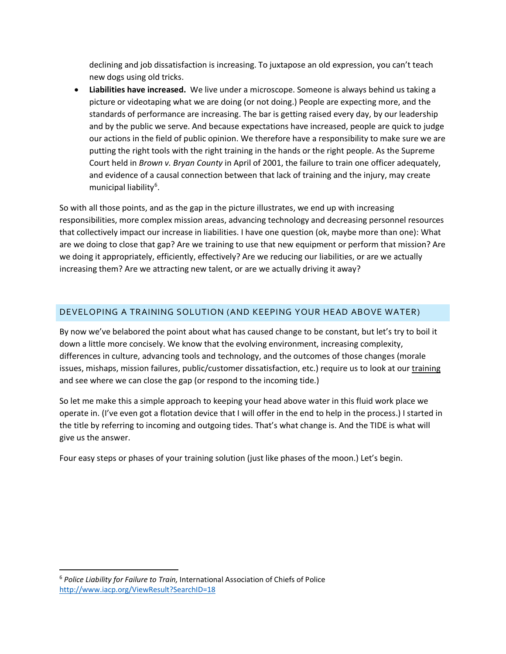declining and job dissatisfaction is increasing. To juxtapose an old expression, you can't teach new dogs using old tricks.

• **Liabilities have increased.** We live under a microscope. Someone is always behind us taking a picture or videotaping what we are doing (or not doing.) People are expecting more, and the standards of performance are increasing. The bar is getting raised every day, by our leadership and by the public we serve. And because expectations have increased, people are quick to judge our actions in the field of public opinion. We therefore have a responsibility to make sure we are putting the right tools with the right training in the hands or the right people. As the Supreme Court held in *Brown v. Bryan County* in April of 2001, the failure to train one officer adequately, and evidence of a causal connection between that lack of training and the injury, may create municipal liability<sup>[6](#page-5-0)</sup>.

So with all those points, and as the gap in the picture illustrates, we end up with increasing responsibilities, more complex mission areas, advancing technology and decreasing personnel resources that collectively impact our increase in liabilities. I have one question (ok, maybe more than one): What are we doing to close that gap? Are we training to use that new equipment or perform that mission? Are we doing it appropriately, efficiently, effectively? Are we reducing our liabilities, or are we actually increasing them? Are we attracting new talent, or are we actually driving it away?

### DEVELOPING A TRAINING SOLUTION (AND KEEPING YOUR HEAD ABOVE WATER)

By now we've belabored the point about what has caused change to be constant, but let's try to boil it down a little more concisely. We know that the evolving environment, increasing complexity, differences in culture, advancing tools and technology, and the outcomes of those changes (morale issues, mishaps, mission failures, public/customer dissatisfaction, etc.) require us to look at our training and see where we can close the gap (or respond to the incoming tide.)

So let me make this a simple approach to keeping your head above water in this fluid work place we operate in. (I've even got a flotation device that I will offer in the end to help in the process.) I started in the title by referring to incoming and outgoing tides. That's what change is. And the TIDE is what will give us the answer.

Four easy steps or phases of your training solution (just like phases of the moon.) Let's begin.

<span id="page-5-0"></span><sup>6</sup> *Police Liability for Failure to Train,* International Association of Chiefs of Police <http://www.iacp.org/ViewResult?SearchID=18>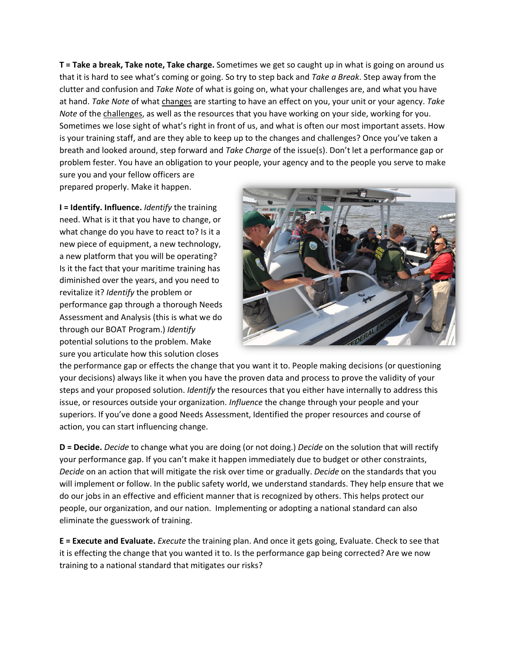**T = Take a break, Take note, Take charge.** Sometimes we get so caught up in what is going on around us that it is hard to see what's coming or going. So try to step back and *Take a Break*. Step away from the clutter and confusion and *Take Note* of what is going on, what your challenges are, and what you have at hand. *Take Note* of what changes are starting to have an effect on you, your unit or your agency. *Take Note* of the challenges, as well as the resources that you have working on your side, working for you. Sometimes we lose sight of what's right in front of us, and what is often our most important assets. How is your training staff, and are they able to keep up to the changes and challenges? Once you've taken a breath and looked around, step forward and *Take Charge* of the issue(s). Don't let a performance gap or problem fester. You have an obligation to your people, your agency and to the people you serve to make sure you and your fellow officers are

prepared properly. Make it happen.

**I = Identify. Influence.** *Identify* the training need. What is it that you have to change, or what change do you have to react to? Is it a new piece of equipment, a new technology, a new platform that you will be operating? Is it the fact that your maritime training has diminished over the years, and you need to revitalize it? *Identify* the problem or performance gap through a thorough Needs Assessment and Analysis (this is what we do through our BOAT Program.) *Identify* potential solutions to the problem. Make sure you articulate how this solution closes



the performance gap or effects the change that you want it to. People making decisions (or questioning your decisions) always like it when you have the proven data and process to prove the validity of your steps and your proposed solution. *Identify* the resources that you either have internally to address this issue, or resources outside your organization. *Influence* the change through your people and your superiors. If you've done a good Needs Assessment, Identified the proper resources and course of action, you can start influencing change.

**D = Decide.** *Decide* to change what you are doing (or not doing.) *Decide* on the solution that will rectify your performance gap. If you can't make it happen immediately due to budget or other constraints, *Decide* on an action that will mitigate the risk over time or gradually. *Decide* on the standards that you will implement or follow. In the public safety world, we understand standards. They help ensure that we do our jobs in an effective and efficient manner that is recognized by others. This helps protect our people, our organization, and our nation. Implementing or adopting a national standard can also eliminate the guesswork of training.

**E = Execute and Evaluate.** *Execute* the training plan. And once it gets going, Evaluate. Check to see that it is effecting the change that you wanted it to. Is the performance gap being corrected? Are we now training to a national standard that mitigates our risks?